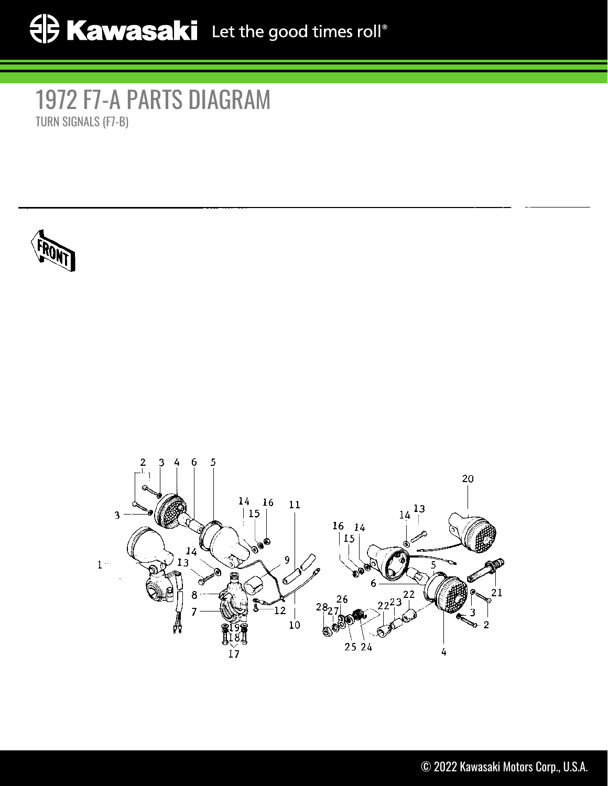## 1972 F7-A PARTS DIAGRAM TURN SIGNALS (F7-B)